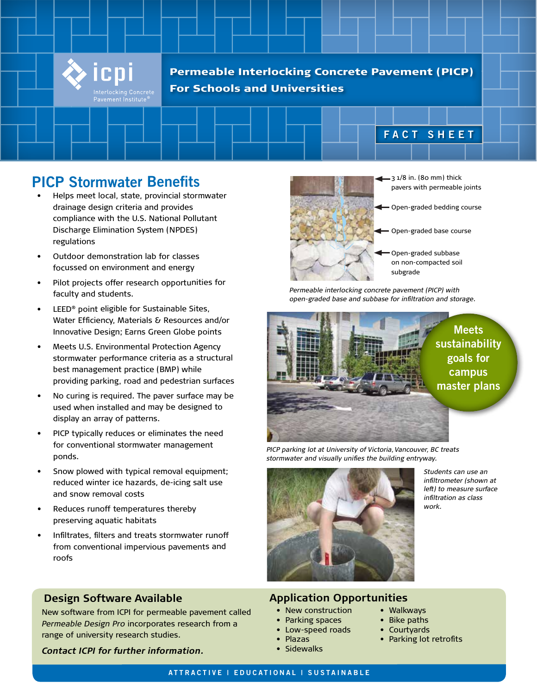

Permeable Interlocking Concrete Pavement (PICP) For Schools and Universities

# **PICP Stormwater Benefits**

- • Helps meet local, state, provincial stormwater drainage design criteria and provides compliance with the U.S. National Pollutant Discharge Elimination System (NPDES) regulations
- • Outdoor demonstration lab for classes focussed on environment and energy
- • Pilot projects offer research opportunities for faculty and students.
- • LEED® point eligible for Sustainable Sites, Water Efficiency, Materials & Resources and/or Innovative Design; Earns Green Globe points
- Meets U.S. Environmental Protection Agency stormwater performance criteria as a structural best management practice (BMP) while providing parking, road and pedestrian surfaces
- No curing is required. The paver surface may be used when installed and may be designed to display an array of patterns.
- PICP typically reduces or eliminates the need for conventional stormwater management ponds.
- Snow plowed with typical removal equipment; reduced winter ice hazards, de-icing salt use and snow removal costs
- Reduces runoff temperatures thereby preserving aquatic habitats
- Infiltrates, filters and treats stormwater runoff from conventional impervious pavements and roofs

### **Design Software Available**

New software from ICPI for permeable pavement called *Permeable Design Pro* incorporates research from a range of university research studies.

*Contact ICPI for further information.*



 $-31/8$  in. (80 mm) thick pavers with permeable joints

**FACT SHEET**

- Open-graded bedding course
- Open-graded base course
- Open-graded subbase on non-compacted soil subgrade

*Permeable interlocking concrete pavement (PICP) with open-graded base and subbase for infiltration and storage.*



*PICP parking lot at University of Victoria, Vancouver, BC treats stormwater and visually unifies the building entryway.*



### **Application Opportunities**

- New construction
- Parking spaces
- Low-speed roads
- Plazas
	- **Sidewalks**

*Students can use an infiltrometer (shown at left) to measure surface infiltration as class work.*

- Bike paths
- Courtyards

• Walkways

• Parking lot retrofits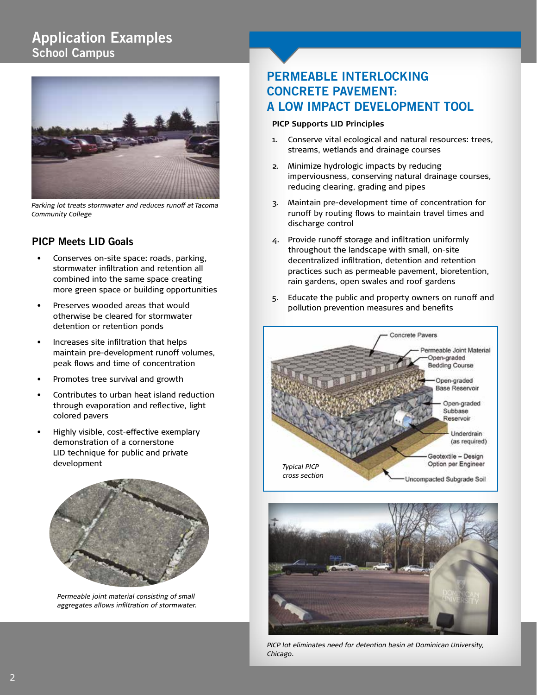# **Application Examples School Campus**



*Parking lot treats stormwater and reduces runoff at Tacoma Community College*

### **PICP Meets LID Goals**

- Conserves on-site space: roads, parking, stormwater infiltration and retention all combined into the same space creating more green space or building opportunities
- Preserves wooded areas that would otherwise be cleared for stormwater detention or retention ponds
- Increases site infiltration that helps maintain pre-development runoff volumes, peak flows and time of concentration
- Promotes tree survival and growth
- Contributes to urban heat island reduction through evaporation and reflective, light colored pavers
- Highly visible, cost-effective exemplary demonstration of a cornerstone LID technique for public and private development



*Permeable joint material consisting of small aggregates allows infiltration of stormwater.*

# **PERMEABLE INTERLOCKING CONCRETE PAVEMENT: A LOW IMPACT DEVELOPMENT TOOL**

#### **PICP Supports LID Principles**

- 1. Conserve vital ecological and natural resources: trees, streams, wetlands and drainage courses
- 2. Minimize hydrologic impacts by reducing imperviousness, conserving natural drainage courses, reducing clearing, grading and pipes
- 3. Maintain pre-development time of concentration for runoff by routing flows to maintain travel times and discharge control
- 4. Provide runoff storage and infiltration uniformly throughout the landscape with small, on-site decentralized infiltration, detention and retention practices such as permeable pavement, bioretention, rain gardens, open swales and roof gardens
- 5. Educate the public and property owners on runoff and pollution prevention measures and benefits





*PICP lot eliminates need for detention basin at Dominican University, Chicago.*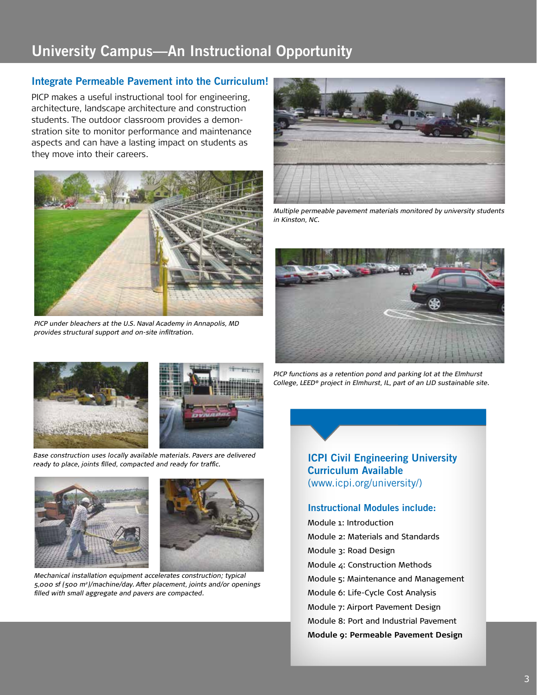# **University Campus—An Instructional Opportunity**

### **Integrate Permeable Pavement into the Curriculum!**

PICP makes a useful instructional tool for engineering, architecture, landscape architecture and construction students. The outdoor classroom provides a demonstration site to monitor performance and maintenance aspects and can have a lasting impact on students as they move into their careers.



*PICP under bleachers at the U.S. Naval Academy in Annapolis, MD provides structural support and on-site infiltration.*



*Multiple permeable pavement materials monitored by university students in Kinston, NC.*









Base construction uses locally available materials. Pavers are delivered ready to place, joints filled, compacted and ready for traffic.





*Mechanical installation equipment accelerates construction; typical 5,000 sf (500 m2)/machine/day. After placement, joints and/or openings filled with small aggregate and pavers are compacted.*

**ICPI Civil Engineering University Curriculum Available** (www.icpi.org/university/)

#### **Instructional Modules include:**

Module 1: Introduction Module 2: Materials and Standards Module 3: Road Design Module 4: Construction Methods Module 5: Maintenance and Management Module 6: Life-Cycle Cost Analysis Module 7: Airport Pavement Design Module 8: Port and Industrial Pavement **Module 9: Permeable Pavement Design**